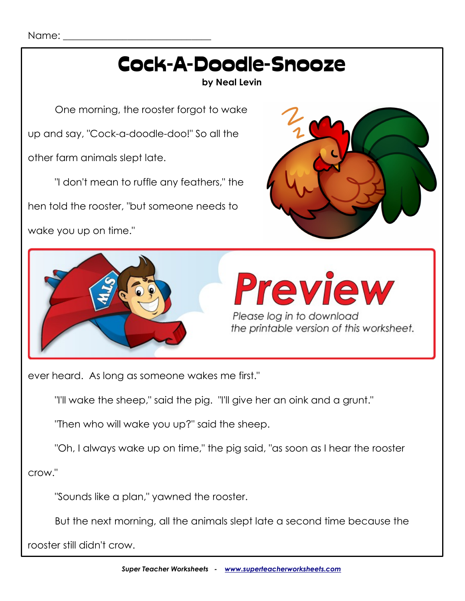

ever heard. As long as someone wakes me first."

"I'll wake the sheep," said the pig. "I'll give her an oink and a grunt."

"Then who will wake you up?" said the sheep.

"Oh, I always wake up on time," the pig said, "as soon as I hear the rooster

crow."

"Sounds like a plan," yawned the rooster.

But the next morning, all the animals slept late a second time because the

rooster still didn't crow.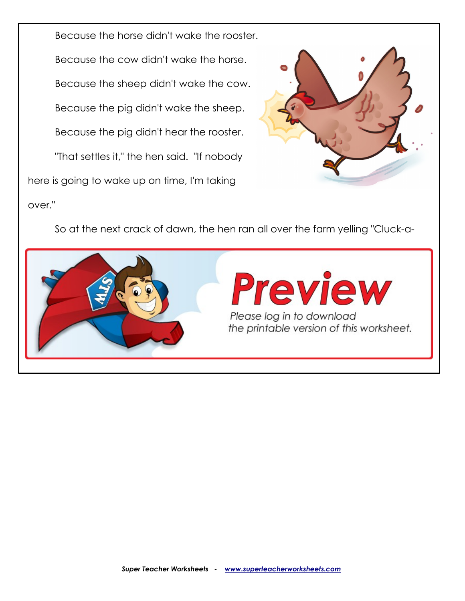Because the horse didn't wake the rooster. Because the cow didn't wake the horse. Because the sheep didn't wake the cow. Because the pig didn't wake the sheep. Because the pig didn't hear the rooster. "That settles it," the hen said. "If nobody here is going to wake up on time, I'm taking over."



So at the next crack of dawn, the hen ran all over the farm yelling "Cluck-a-

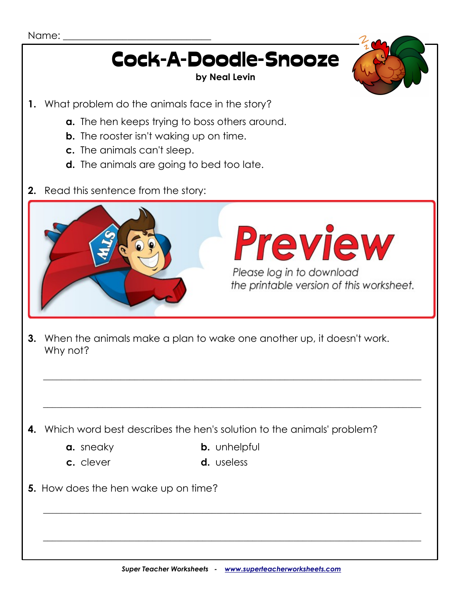# Cock-A-Doodle-Snooze

#### **by Neal Levin**

- **1.** What problem do the animals face in the story?
	- **a.** The hen keeps trying to boss others around.
	- **b.** The rooster isn't waking up on time.
	- **c.** The animals can't sleep.
	- **d.** The animals are going to bed too late.
- **2.** Read this sentence from the story:



**3.** When the animals make a plan to wake one another up, it doesn't work. Why not?

**4.** Which word best describes the hen's solution to the animals' problem?

- 
- 
- **a.** sneaky **b.** unhelpful

\_\_\_\_\_\_\_\_\_\_\_\_\_\_\_\_\_\_\_\_\_\_\_\_\_\_\_\_\_\_\_\_\_\_\_\_\_\_\_\_\_\_\_\_\_\_\_\_\_\_\_\_\_\_\_\_\_\_\_\_\_\_\_\_\_\_\_\_\_\_\_\_\_\_\_\_\_\_\_\_\_\_\_

 $\mathcal{L} = \frac{1}{2} \sum_{i=1}^{n} \frac{1}{2} \sum_{j=1}^{n} \frac{1}{2} \sum_{j=1}^{n} \frac{1}{2} \sum_{j=1}^{n} \frac{1}{2} \sum_{j=1}^{n} \frac{1}{2} \sum_{j=1}^{n} \frac{1}{2} \sum_{j=1}^{n} \frac{1}{2} \sum_{j=1}^{n} \frac{1}{2} \sum_{j=1}^{n} \frac{1}{2} \sum_{j=1}^{n} \frac{1}{2} \sum_{j=1}^{n} \frac{1}{2} \sum_{j=1}^{n} \frac{1}{2} \sum$ 

**c.** clever **d.** useless

\_\_\_\_\_\_\_\_\_\_\_\_\_\_\_\_\_\_\_\_\_\_\_\_\_\_\_\_\_\_\_\_\_\_\_\_\_\_\_\_\_\_\_\_\_\_\_\_\_\_\_\_\_\_\_\_\_\_\_\_\_\_\_\_\_\_\_\_\_\_\_\_\_\_\_\_\_\_\_\_\_\_\_

 $\mathcal{L} = \frac{1}{2} \sum_{i=1}^{n} \frac{1}{2} \sum_{j=1}^{n} \frac{1}{2} \sum_{j=1}^{n} \frac{1}{2} \sum_{j=1}^{n} \frac{1}{2} \sum_{j=1}^{n} \frac{1}{2} \sum_{j=1}^{n} \frac{1}{2} \sum_{j=1}^{n} \frac{1}{2} \sum_{j=1}^{n} \frac{1}{2} \sum_{j=1}^{n} \frac{1}{2} \sum_{j=1}^{n} \frac{1}{2} \sum_{j=1}^{n} \frac{1}{2} \sum_{j=1}^{n} \frac{1}{2} \sum$ 

**5.** How does the hen wake up on time?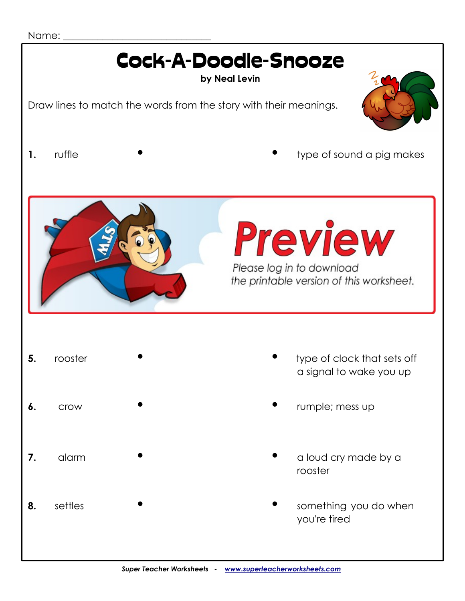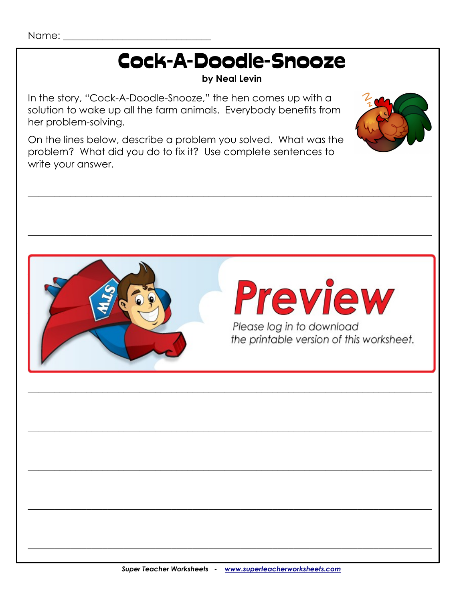# **Cock-A-Doodle-Snooze**

#### by Neal Levin

In the story, "Cock-A-Doodle-Snooze," the hen comes up with a solution to wake up all the farm animals. Everybody benefits from her problem-solving.

On the lines below, describe a problem you solved. What was the problem? What did you do to fix it? Use complete sentences to write your answer.



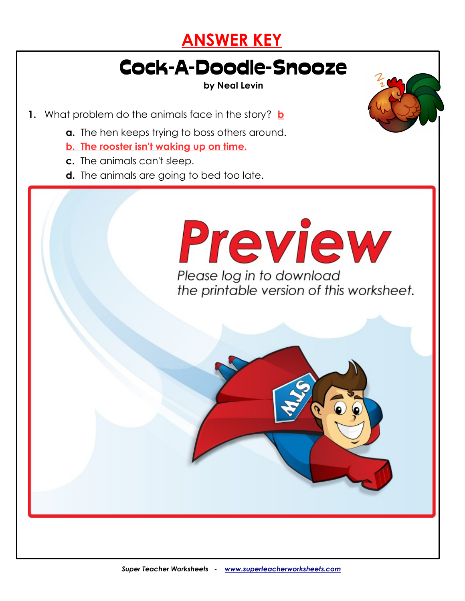

### Cock-A-Doodle-Snooze

**by Neal Levin**

**1.** What problem do the animals face in the story? **b**

**a.** The hen keeps trying to boss others around.

*"I don't mean to ruffle any feathers, but someone needs*

**3.** When the animals make a plan to wake one another up, it doesn't work.

**4.** Which word best describes the hen's solution to the animals' problem? **c**

 **a.** sneaky **b.** unhelpful

 **The hen wakes up in time by setting her "alarm cluck."**

**c.** clearly define the control of the control of the control of the control of the control of the control of the control of the control of the control of the control of the control of the control of the control of the con

**5.** How does the hen wake up in time?

**Their plan doesn't work because it depends on the rooster crowing to wake the**

**pig. But the rooster is unable to wake himself or any of the other animals.**

- **b. The rooster isn't waking up on time.**
- **c.** The animals can't sleep.

**2.** Read this sentence from the story:

**c. Say something in a loud voice** 

Why note that

d. Say something in a quiet voice voice voice voice voice voice voice voice voice voice voice voice voice voice

**d.** The animals are going to bed too late.

 *to wake you up on time."* What does it mean to "ruffle someone's feathers"? **a Please log in to download** the printable version of this worksheet.